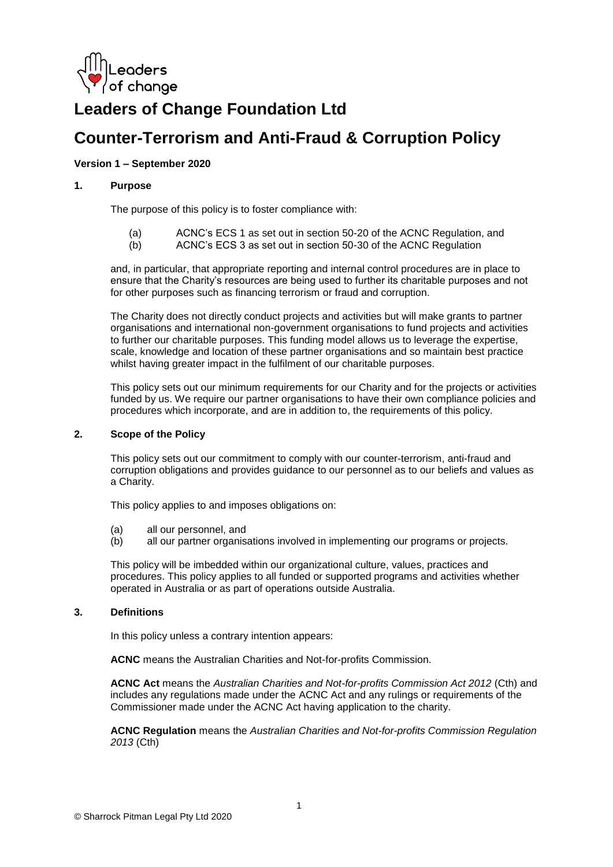

# **Leaders of Change Foundation Ltd**

## **Counter-Terrorism and Anti-Fraud & Corruption Policy**

## **Version 1 – September 2020**

## **1. Purpose**

The purpose of this policy is to foster compliance with:

- (a) ACNC's ECS 1 as set out in section 50-20 of the ACNC Regulation, and
- (b) ACNC's ECS 3 as set out in section 50-30 of the ACNC Regulation

and, in particular, that appropriate reporting and internal control procedures are in place to ensure that the Charity's resources are being used to further its charitable purposes and not for other purposes such as financing terrorism or fraud and corruption.

The Charity does not directly conduct projects and activities but will make grants to partner organisations and international non-government organisations to fund projects and activities to further our charitable purposes. This funding model allows us to leverage the expertise, scale, knowledge and location of these partner organisations and so maintain best practice whilst having greater impact in the fulfilment of our charitable purposes.

This policy sets out our minimum requirements for our Charity and for the projects or activities funded by us. We require our partner organisations to have their own compliance policies and procedures which incorporate, and are in addition to, the requirements of this policy.

## **2. Scope of the Policy**

This policy sets out our commitment to comply with our counter-terrorism, anti-fraud and corruption obligations and provides guidance to our personnel as to our beliefs and values as a Charity.

This policy applies to and imposes obligations on:

- (a) all our personnel, and
- (b) all our partner organisations involved in implementing our programs or projects.

This policy will be imbedded within our organizational culture, values, practices and procedures. This policy applies to all funded or supported programs and activities whether operated in Australia or as part of operations outside Australia.

#### **3. Definitions**

In this policy unless a contrary intention appears:

**ACNC** means the Australian Charities and Not-for-profits Commission.

**ACNC Act** means the *Australian Charities and Not-for-profits Commission Act 2012* (Cth) and includes any regulations made under the ACNC Act and any rulings or requirements of the Commissioner made under the ACNC Act having application to the charity.

**ACNC Regulation** means the *Australian Charities and Not-for-profits Commission Regulation 2013* (Cth)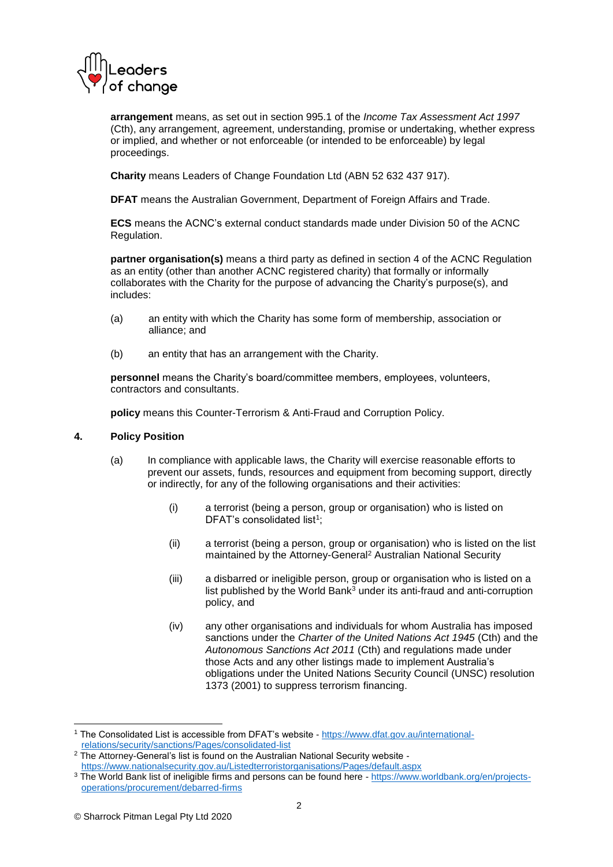

**arrangement** means, as set out in section 995.1 of the *Income Tax Assessment Act 1997* (Cth), any arrangement, agreement, understanding, promise or undertaking, whether express or implied, and whether or not enforceable (or intended to be enforceable) by legal proceedings.

**Charity** means Leaders of Change Foundation Ltd (ABN 52 632 437 917).

**DFAT** means the Australian Government, Department of Foreign Affairs and Trade.

**ECS** means the ACNC's external conduct standards made under Division 50 of the ACNC Regulation.

**partner organisation(s)** means a third party as defined in section 4 of the ACNC Regulation as an entity (other than another ACNC registered charity) that formally or informally collaborates with the Charity for the purpose of advancing the Charity's purpose(s), and includes:

- (a) an entity with which the Charity has some form of membership, association or alliance; and
- (b) an entity that has an arrangement with the Charity.

**personnel** means the Charity's board/committee members, employees, volunteers, contractors and consultants.

**policy** means this Counter-Terrorism & Anti-Fraud and Corruption Policy.

## **4. Policy Position**

- (a) In compliance with applicable laws, the Charity will exercise reasonable efforts to prevent our assets, funds, resources and equipment from becoming support, directly or indirectly, for any of the following organisations and their activities:
	- (i) a terrorist (being a person, group or organisation) who is listed on DFAT's consolidated list<sup>1</sup>;
	- (ii) a terrorist (being a person, group or organisation) who is listed on the list maintained by the Attorney-General<sup>2</sup> Australian National Security
	- (iii) a disbarred or ineligible person, group or organisation who is listed on a list published by the World Bank $^3$  under its anti-fraud and anti-corruption policy, and
	- (iv) any other organisations and individuals for whom Australia has imposed sanctions under the *Charter of the United Nations Act 1945* (Cth) and the *Autonomous Sanctions Act 2011* (Cth) and regulations made under those Acts and any other listings made to implement Australia's obligations under the United Nations Security Council (UNSC) resolution 1373 (2001) to suppress terrorism financing.

**<sup>-</sup>**<sup>1</sup> The Consolidated List is accessible from DFAT's website - [https://www.dfat.gov.au/international](https://www.dfat.gov.au/international-relations/security/sanctions/Pages/consolidated-list)[relations/security/sanctions/Pages/consolidated-list](https://www.dfat.gov.au/international-relations/security/sanctions/Pages/consolidated-list)

<sup>&</sup>lt;sup>2</sup> The Attorney-General's list is found on the Australian National Security website <https://www.nationalsecurity.gov.au/Listedterroristorganisations/Pages/default.aspx>

<sup>3</sup> The World Bank list of ineligible firms and persons can be found here - [https://www.worldbank.org/en/projects](https://www.worldbank.org/en/projects-operations/procurement/debarred-firms)[operations/procurement/debarred-firms](https://www.worldbank.org/en/projects-operations/procurement/debarred-firms)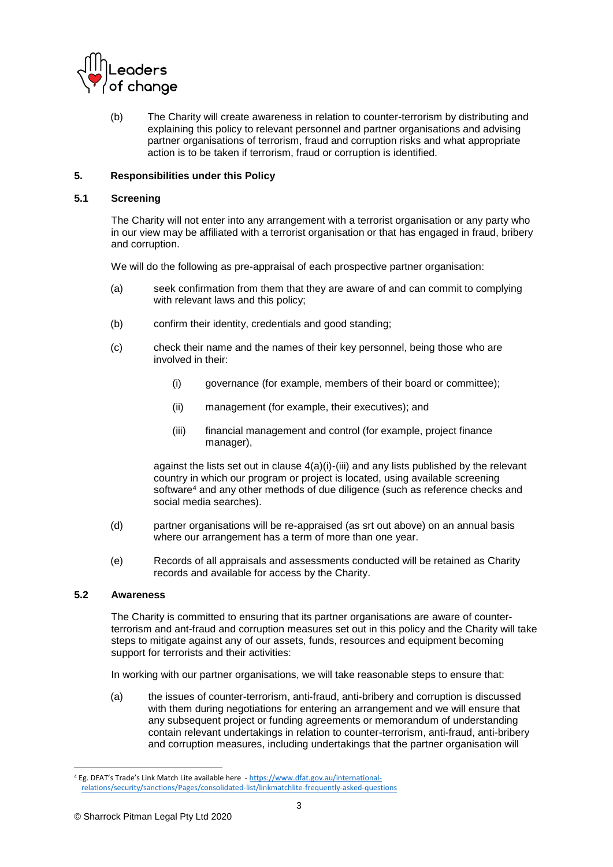

(b) The Charity will create awareness in relation to counter-terrorism by distributing and explaining this policy to relevant personnel and partner organisations and advising partner organisations of terrorism, fraud and corruption risks and what appropriate action is to be taken if terrorism, fraud or corruption is identified.

## **5. Responsibilities under this Policy**

## **5.1 Screening**

The Charity will not enter into any arrangement with a terrorist organisation or any party who in our view may be affiliated with a terrorist organisation or that has engaged in fraud, bribery and corruption.

We will do the following as pre-appraisal of each prospective partner organisation:

- (a) seek confirmation from them that they are aware of and can commit to complying with relevant laws and this policy;
- (b) confirm their identity, credentials and good standing;
- (c) check their name and the names of their key personnel, being those who are involved in their:
	- (i) governance (for example, members of their board or committee);
	- (ii) management (for example, their executives); and
	- (iii) financial management and control (for example, project finance manager),

against the lists set out in clause 4(a)(i)-(iii) and any lists published by the relevant country in which our program or project is located, using available screening software<sup>4</sup> and any other methods of due diligence (such as reference checks and social media searches).

- (d) partner organisations will be re-appraised (as srt out above) on an annual basis where our arrangement has a term of more than one year.
- (e) Records of all appraisals and assessments conducted will be retained as Charity records and available for access by the Charity.

## **5.2 Awareness**

The Charity is committed to ensuring that its partner organisations are aware of counterterrorism and ant-fraud and corruption measures set out in this policy and the Charity will take steps to mitigate against any of our assets, funds, resources and equipment becoming support for terrorists and their activities:

In working with our partner organisations, we will take reasonable steps to ensure that:

(a) the issues of counter-terrorism, anti-fraud, anti-bribery and corruption is discussed with them during negotiations for entering an arrangement and we will ensure that any subsequent project or funding agreements or memorandum of understanding contain relevant undertakings in relation to counter-terrorism, anti-fraud, anti-bribery and corruption measures, including undertakings that the partner organisation will

<sup>1</sup> <sup>4</sup> Eg. DFAT's Trade's Link Match Lite available here - [https://www.dfat.gov.au/international](https://www.dfat.gov.au/international-relations/security/sanctions/Pages/consolidated-list/linkmatchlite-frequently-asked-questions)[relations/security/sanctions/Pages/consolidated-list/linkmatchlite-frequently-asked-questions](https://www.dfat.gov.au/international-relations/security/sanctions/Pages/consolidated-list/linkmatchlite-frequently-asked-questions)